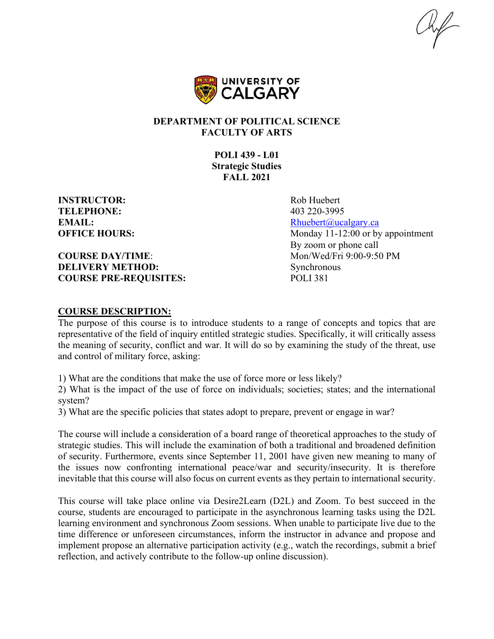$\mathcal{H}_{\mathcal{F}}$ 



#### **DEPARTMENT OF POLITICAL SCIENCE FACULTY OF ARTS**

**POLI 439 - L01 Strategic Studies FALL 2021**

**INSTRUCTOR:** Rob Huebert **TELEPHONE:** 403 220-3995

**COURSE DAY/TIME:** Mon/Wed/Fri 9:00-9:50 PM **DELIVERY METHOD:** Synchronous **COURSE PRE-REQUISITES:** POLI 381

**EMAIL:** [Rhuebert@ucalgary.ca](mailto:Rhuebert@ucalgary.ca) **OFFICE HOURS:** Monday 11-12:00 or by appointment By zoom or phone call

#### **COURSE DESCRIPTION:**

The purpose of this course is to introduce students to a range of concepts and topics that are representative of the field of inquiry entitled strategic studies. Specifically, it will critically assess the meaning of security, conflict and war. It will do so by examining the study of the threat, use and control of military force, asking:

1) What are the conditions that make the use of force more or less likely?

2) What is the impact of the use of force on individuals; societies; states; and the international system?

3) What are the specific policies that states adopt to prepare, prevent or engage in war?

The course will include a consideration of a board range of theoretical approaches to the study of strategic studies. This will include the examination of both a traditional and broadened definition of security. Furthermore, events since September 11, 2001 have given new meaning to many of the issues now confronting international peace/war and security/insecurity. It is therefore inevitable that this course will also focus on current events as they pertain to international security.

This course will take place online via Desire2Learn (D2L) and Zoom. To best succeed in the course, students are encouraged to participate in the asynchronous learning tasks using the D2L learning environment and synchronous Zoom sessions. When unable to participate live due to the time difference or unforeseen circumstances, inform the instructor in advance and propose and implement propose an alternative participation activity (e.g., watch the recordings, submit a brief reflection, and actively contribute to the follow-up online discussion).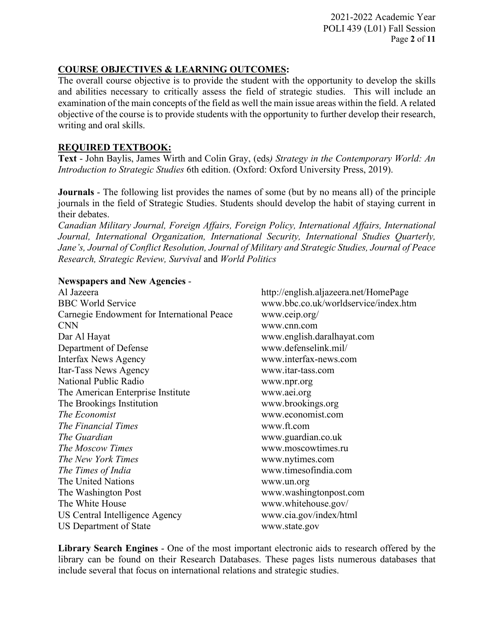2021-2022 Academic Year POLI 439 (L01) Fall Session Page **2** of **11**

## **COURSE OBJECTIVES & LEARNING OUTCOMES:**

The overall course objective is to provide the student with the opportunity to develop the skills and abilities necessary to critically assess the field of strategic studies. This will include an examination of the main concepts of the field as well the main issue areas within the field. A related objective of the course is to provide students with the opportunity to further develop their research, writing and oral skills.

## **REQUIRED TEXTBOOK:**

**Text** - John Baylis, James Wirth and Colin Gray, (eds*) Strategy in the Contemporary World: An Introduction to Strategic Studies* 6th edition. (Oxford: Oxford University Press, 2019).

**Journals** - The following list provides the names of some (but by no means all) of the principle journals in the field of Strategic Studies. Students should develop the habit of staying current in their debates.

*Canadian Military Journal, Foreign Affairs, Foreign Policy, International Affairs, International Journal, International Organization, International Security, International Studies Quarterly, Jane's, Journal of Conflict Resolution, Journal of Military and Strategic Studies, Journal of Peace Research, Strategic Review, Survival* and *World Politics*

### **Newspapers and New Agencies** -

Al Jazeera http://english.aljazeera.net/HomePage BBC World Service www.bbc.co.uk/worldservice/index.htm Carnegie Endowment for International Peace www.ceip.org/ CNN www.cnn.com Dar Al Hayat www.english.daralhayat.com Department of Defense www.defenselink.mil/ Interfax News Agency www.interfax-news.com Itar-Tass News Agency www.itar-tass.com National Public Radio www.npr.org The American Enterprise Institute www.aei.org The Brookings Institution www.brookings.org *The Economist* www.economist.com *The Financial Times* www.ft.com *The Guardian* www.guardian.co.uk *The Moscow Times* www.moscowtimes.ru *The New York Times* www.nytimes.com *The Times of India* www.timesofindia.com The United Nations www.un.org The Washington Post www.washingtonpost.com The White House www.whitehouse.gov/ US Central Intelligence Agency www.cia.gov/index/html US Department of State www.state.gov

**Library Search Engines** - One of the most important electronic aids to research offered by the library can be found on their Research Databases. These pages lists numerous databases that include several that focus on international relations and strategic studies.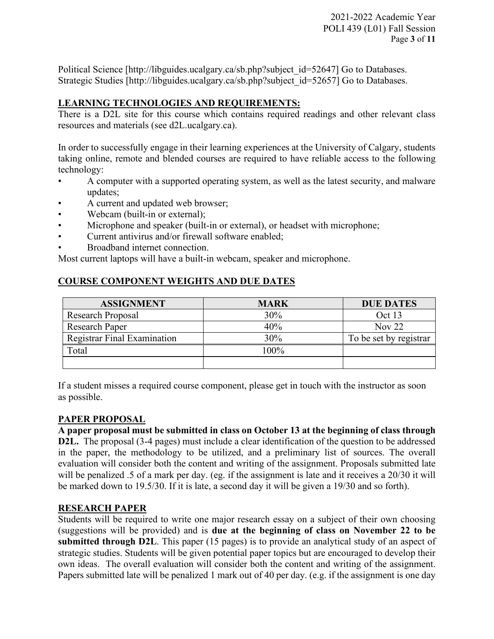Political Science [http://libguides.ucalgary.ca/sb.php?subject\_id=52647] Go to Databases. Strategic Studies [http://libguides.ucalgary.ca/sb.php?subject\_id=52657] Go to Databases.

# **LEARNING TECHNOLOGIES AND REQUIREMENTS:**

There is a D2L site for this course which contains required readings and other relevant class resources and materials (see d2L.ucalgary.ca).

In order to successfully engage in their learning experiences at the University of Calgary, students taking online, remote and blended courses are required to have reliable access to the following technology:

- A computer with a supported operating system, as well as the latest security, and malware updates;
- A current and updated web browser;
- Webcam (built-in or external);
- Microphone and speaker (built-in or external), or headset with microphone;
- Current antivirus and/or firewall software enabled;
- Broadband internet connection.

Most current laptops will have a built-in webcam, speaker and microphone.

# **COURSE COMPONENT WEIGHTS AND DUE DATES**

| <b>ASSIGNMENT</b>           | <b>MARK</b> | <b>DUE DATES</b>       |
|-----------------------------|-------------|------------------------|
| Research Proposal           | 30%         | Oct 13                 |
| <b>Research Paper</b>       | 40%         | Nov $22$               |
| Registrar Final Examination | 30%         | To be set by registrar |
| Total                       | 100%        |                        |
|                             |             |                        |

If a student misses a required course component, please get in touch with the instructor as soon as possible.

# **PAPER PROPOSAL**

**A paper proposal must be submitted in class on October 13 at the beginning of class through D2L.** The proposal (3-4 pages) must include a clear identification of the question to be addressed in the paper, the methodology to be utilized, and a preliminary list of sources. The overall evaluation will consider both the content and writing of the assignment. Proposals submitted late will be penalized .5 of a mark per day. (eg. if the assignment is late and it receives a 20/30 it will be marked down to 19.5/30. If it is late, a second day it will be given a 19/30 and so forth).

# **RESEARCH PAPER**

Students will be required to write one major research essay on a subject of their own choosing (suggestions will be provided) and is **due at the beginning of class on November 22 to be submitted through D2L**. This paper (15 pages) is to provide an analytical study of an aspect of strategic studies. Students will be given potential paper topics but are encouraged to develop their own ideas. The overall evaluation will consider both the content and writing of the assignment. Papers submitted late will be penalized 1 mark out of 40 per day. (e.g. if the assignment is one day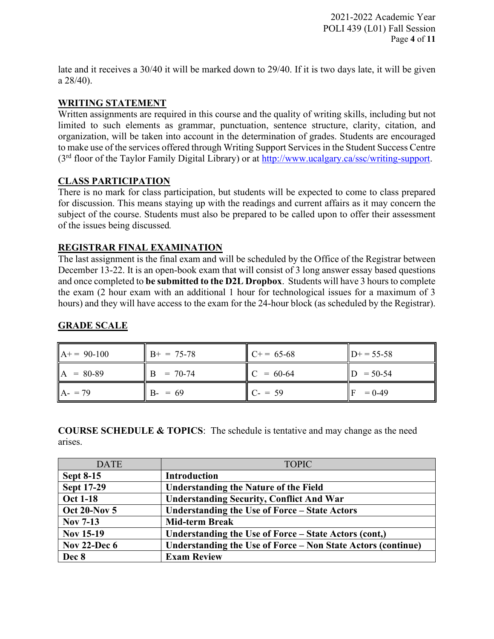2021-2022 Academic Year POLI 439 (L01) Fall Session Page **4** of **11**

late and it receives a 30/40 it will be marked down to 29/40. If it is two days late, it will be given a 28/40).

# **WRITING STATEMENT**

Written assignments are required in this course and the quality of writing skills, including but not limited to such elements as grammar, punctuation, sentence structure, clarity, citation, and organization, will be taken into account in the determination of grades. Students are encouraged to make use of the services offered through Writing Support Services in the Student Success Centre (3rd floor of the Taylor Family Digital Library) or at [http://www.ucalgary.ca/ssc/writing-support.](http://www.ucalgary.ca/ssc/writing-support)

# **CLASS PARTICIPATION**

There is no mark for class participation, but students will be expected to come to class prepared for discussion. This means staying up with the readings and current affairs as it may concern the subject of the course. Students must also be prepared to be called upon to offer their assessment of the issues being discussed*.* 

# **REGISTRAR FINAL EXAMINATION**

The last assignment is the final exam and will be scheduled by the Office of the Registrar between December 13-22. It is an open-book exam that will consist of 3 long answer essay based questions and once completed to **be submitted to the D2L Dropbox**. Students will have 3 hours to complete the exam (2 hour exam with an additional 1 hour for technological issues for a maximum of 3 hours) and they will have access to the exam for the 24-hour block (as scheduled by the Registrar).

| $A+= 90-100$              | $B+ = 75-78$ | $C+= 65-68$ | $D+ = 55-58$ |
|---------------------------|--------------|-------------|--------------|
| $\mathbf{A}$<br>$= 80-89$ | $= 70 - 74$  | $C = 60-64$ | $= 50 - 54$  |
| $A - 79$                  | $B - = 69$   | $C = 59$    | $= 0-49$     |

# **GRADE SCALE**

**COURSE SCHEDULE & TOPICS**: The schedule is tentative and may change as the need arises.

| <b>DATE</b>         | <b>TOPIC</b>                                                 |
|---------------------|--------------------------------------------------------------|
| <b>Sept 8-15</b>    | <b>Introduction</b>                                          |
| <b>Sept 17-29</b>   | <b>Understanding the Nature of the Field</b>                 |
| <b>Oct 1-18</b>     | <b>Understanding Security, Conflict And War</b>              |
| <b>Oct 20-Nov 5</b> | Understanding the Use of Force – State Actors                |
| <b>Nov 7-13</b>     | <b>Mid-term Break</b>                                        |
| <b>Nov 15-19</b>    | Understanding the Use of Force – State Actors (cont.)        |
| <b>Nov 22-Dec 6</b> | Understanding the Use of Force – Non State Actors (continue) |
| Dec 8               | <b>Exam Review</b>                                           |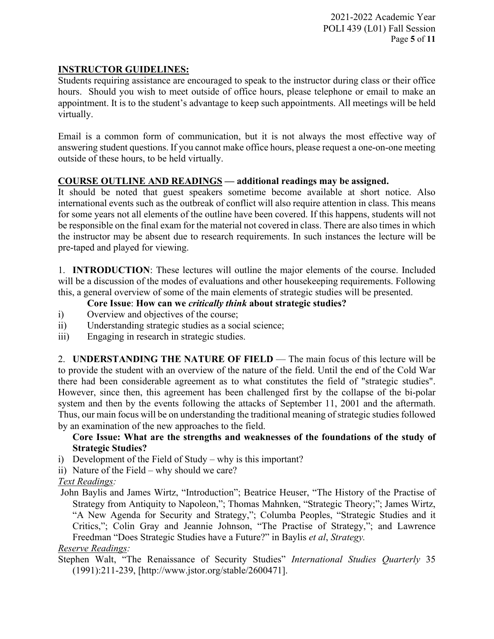# **INSTRUCTOR GUIDELINES:**

Students requiring assistance are encouraged to speak to the instructor during class or their office hours. Should you wish to meet outside of office hours, please telephone or email to make an appointment. It is to the student's advantage to keep such appointments. All meetings will be held virtually.

Email is a common form of communication, but it is not always the most effective way of answering student questions. If you cannot make office hours, please request a one-on-one meeting outside of these hours, to be held virtually.

# **COURSE OUTLINE AND READINGS — additional readings may be assigned.**

It should be noted that guest speakers sometime become available at short notice. Also international events such as the outbreak of conflict will also require attention in class. This means for some years not all elements of the outline have been covered. If this happens, students will not be responsible on the final exam for the material not covered in class. There are also times in which the instructor may be absent due to research requirements. In such instances the lecture will be pre-taped and played for viewing.

1. **INTRODUCTION**: These lectures will outline the major elements of the course. Included will be a discussion of the modes of evaluations and other house keeping requirements. Following this, a general overview of some of the main elements of strategic studies will be presented.

# **Core Issue**: **How can we** *critically think* **about strategic studies?**

- i) Overview and objectives of the course;
- ii) Understanding strategic studies as a social science;
- iii) Engaging in research in strategic studies.

2. **UNDERSTANDING THE NATURE OF FIELD** — The main focus of this lecture will be to provide the student with an overview of the nature of the field. Until the end of the Cold War there had been considerable agreement as to what constitutes the field of "strategic studies". However, since then, this agreement has been challenged first by the collapse of the bi-polar system and then by the events following the attacks of September 11, 2001 and the aftermath. Thus, our main focus will be on understanding the traditional meaning of strategic studies followed by an examination of the new approaches to the field.

# **Core Issue: What are the strengths and weaknesses of the foundations of the study of Strategic Studies?**

- i) Development of the Field of Study why is this important?
- ii) Nature of the Field why should we care?

# *Text Readings:*

John Baylis and James Wirtz, "Introduction"; Beatrice Heuser, "The History of the Practise of Strategy from Antiquity to Napoleon,"; Thomas Mahnken, "Strategic Theory;"; James Wirtz, "A New Agenda for Security and Strategy,"; Columba Peoples, "Strategic Studies and it Critics,"; Colin Gray and Jeannie Johnson, "The Practise of Strategy,"; and Lawrence Freedman "Does Strategic Studies have a Future?" in Baylis *et al*, *Strategy.*

# *Reserve Readings:*

Stephen Walt, "The Renaissance of Security Studies" *International Studies Quarterly* 35 (1991):211-239, [http://www.jstor.org/stable/2600471].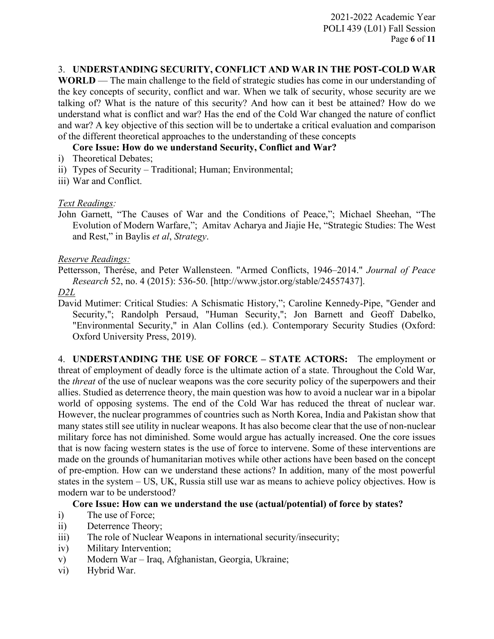2021-2022 Academic Year POLI 439 (L01) Fall Session Page **6** of **11**

## 3. **UNDERSTANDING SECURITY, CONFLICT AND WAR IN THE POST-COLD WAR**

**WORLD** — The main challenge to the field of strategic studies has come in our understanding of the key concepts of security, conflict and war. When we talk of security, whose security are we talking of? What is the nature of this security? And how can it best be attained? How do we understand what is conflict and war? Has the end of the Cold War changed the nature of conflict and war? A key objective of this section will be to undertake a critical evaluation and comparison of the different theoretical approaches to the understanding of these concepts

### **Core Issue: How do we understand Security, Conflict and War?**

- i) Theoretical Debates;
- ii) Types of Security Traditional; Human; Environmental;
- iii) War and Conflict.

### *Text Readings:*

John Garnett, "The Causes of War and the Conditions of Peace,"; Michael Sheehan, "The Evolution of Modern Warfare,"; Amitav Acharya and Jiajie He, "Strategic Studies: The West and Rest," in Baylis *et al*, *Strategy*.

### *Reserve Readings:*

Pettersson, Therése, and Peter Wallensteen. "Armed Conflicts, 1946–2014." *Journal of Peace Research* 52, no. 4 (2015): 536-50. [http://www.jstor.org/stable/24557437].

#### *D2L*

David Mutimer: Critical Studies: A Schismatic History,"; Caroline Kennedy-Pipe, "Gender and Security,"; Randolph Persaud, "Human Security,"; Jon Barnett and Geoff Dabelko, "Environmental Security," in Alan Collins (ed.). Contemporary Security Studies (Oxford: Oxford University Press, 2019).

4. **UNDERSTANDING THE USE OF FORCE – STATE ACTORS:** The employment or threat of employment of deadly force is the ultimate action of a state. Throughout the Cold War, the *threat* of the use of nuclear weapons was the core security policy of the superpowers and their allies. Studied as deterrence theory, the main question was how to avoid a nuclear war in a bipolar world of opposing systems. The end of the Cold War has reduced the threat of nuclear war. However, the nuclear programmes of countries such as North Korea, India and Pakistan show that many states still see utility in nuclear weapons. It has also become clear that the use of non-nuclear military force has not diminished. Some would argue has actually increased. One the core issues that is now facing western states is the use of force to intervene. Some of these interventions are made on the grounds of humanitarian motives while other actions have been based on the concept of pre-emption. How can we understand these actions? In addition, many of the most powerful states in the system – US, UK, Russia still use war as means to achieve policy objectives. How is modern war to be understood?

### **Core Issue: How can we understand the use (actual/potential) of force by states?**

- i) The use of Force;
- ii) Deterrence Theory;
- iii) The role of Nuclear Weapons in international security/insecurity;
- iv) Military Intervention;
- v) Modern War Iraq, Afghanistan, Georgia, Ukraine;
- vi) Hybrid War.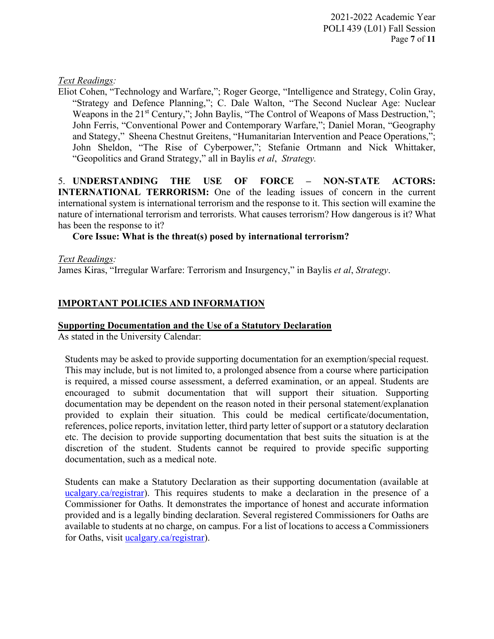## *Text Readings:*

Eliot Cohen, "Technology and Warfare,"; Roger George, "Intelligence and Strategy, Colin Gray, "Strategy and Defence Planning,"; C. Dale Walton, "The Second Nuclear Age: Nuclear Weapons in the 21<sup>st</sup> Century,"; John Baylis, "The Control of Weapons of Mass Destruction,"; John Ferris, "Conventional Power and Contemporary Warfare,"; Daniel Moran, "Geography and Stategy," Sheena Chestnut Greitens, "Humanitarian Intervention and Peace Operations,"; John Sheldon, "The Rise of Cyberpower,"; Stefanie Ortmann and Nick Whittaker, "Geopolitics and Grand Strategy," all in Baylis *et al*, *Strategy.*

5. **UNDERSTANDING THE USE OF FORCE – NON-STATE ACTORS: INTERNATIONAL TERRORISM:** One of the leading issues of concern in the current international system is international terrorism and the response to it. This section will examine the nature of international terrorism and terrorists. What causes terrorism? How dangerous is it? What has been the response to it?

## **Core Issue: What is the threat(s) posed by international terrorism?**

*Text Readings:*

James Kiras, "Irregular Warfare: Terrorism and Insurgency," in Baylis *et al*, *Strategy*.

# **IMPORTANT POLICIES AND INFORMATION**

### **Supporting Documentation and the Use of a Statutory Declaration**

As stated in the University Calendar:

Students may be asked to provide supporting documentation for an exemption/special request. This may include, but is not limited to, a prolonged absence from a course where participation is required, a missed course assessment, a deferred examination, or an appeal. Students are encouraged to submit documentation that will support their situation. Supporting documentation may be dependent on the reason noted in their personal statement/explanation provided to explain their situation. This could be medical certificate/documentation, references, police reports, invitation letter, third party letter of support or a statutory declaration etc. The decision to provide supporting documentation that best suits the situation is at the discretion of the student. Students cannot be required to provide specific supporting documentation, such as a medical note.

Students can make a Statutory Declaration as their supporting documentation (available at ucalgary.ca/registrar). This requires students to make a declaration in the presence of a Commissioner for Oaths. It demonstrates the importance of honest and accurate information provided and is a legally binding declaration. Several registered Commissioners for Oaths are available to students at no charge, on campus. For a list of locations to access a Commissioners for Oaths, visit [ucalgary.ca/registrar\)](http://www.ucalgary.ca/registrar).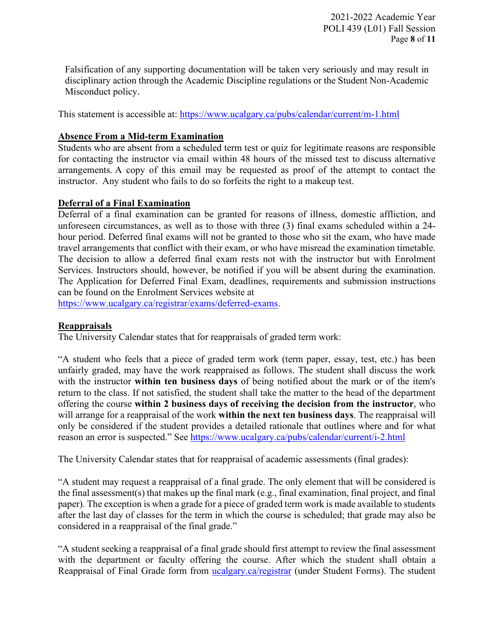Falsification of any supporting documentation will be taken very seriously and may result in disciplinary action through the Academic Discipline regulations or the Student Non-Academic Misconduct policy.

This statement is accessible at:<https://www.ucalgary.ca/pubs/calendar/current/m-1.html>

# **Absence From a Mid-term Examination**

Students who are absent from a scheduled term test or quiz for legitimate reasons are responsible for contacting the instructor via email within 48 hours of the missed test to discuss alternative arrangements. A copy of this email may be requested as proof of the attempt to contact the instructor. Any student who fails to do so forfeits the right to a makeup test.

## **Deferral of a Final Examination**

Deferral of a final examination can be granted for reasons of illness, domestic affliction, and unforeseen circumstances, as well as to those with three (3) final exams scheduled within a 24 hour period. Deferred final exams will not be granted to those who sit the exam, who have made travel arrangements that conflict with their exam, or who have misread the examination timetable. The decision to allow a deferred final exam rests not with the instructor but with Enrolment Services. Instructors should, however, be notified if you will be absent during the examination. The Application for Deferred Final Exam, deadlines, requirements and submission instructions can be found on the Enrolment Services website at

[https://www.ucalgary.ca/registrar/exams/deferred-exams.](https://www.ucalgary.ca/registrar/exams/deferred-exams)

# **Reappraisals**

The University Calendar states that for reappraisals of graded term work:

"A student who feels that a piece of graded term work (term paper, essay, test, etc.) has been unfairly graded, may have the work reappraised as follows. The student shall discuss the work with the instructor **within ten business days** of being notified about the mark or of the item's return to the class. If not satisfied, the student shall take the matter to the head of the department offering the course **within 2 business days of receiving the decision from the instructor**, who will arrange for a reappraisal of the work **within the next ten business days**. The reappraisal will only be considered if the student provides a detailed rationale that outlines where and for what reason an error is suspected." See<https://www.ucalgary.ca/pubs/calendar/current/i-2.html>

The University Calendar states that for reappraisal of academic assessments (final grades):

"A student may request a reappraisal of a final grade. The only element that will be considered is the final assessment(s) that makes up the final mark (e.g., final examination, final project, and final paper). The exception is when a grade for a piece of graded term work is made available to students after the last day of classes for the term in which the course is scheduled; that grade may also be considered in a reappraisal of the final grade."

"A student seeking a reappraisal of a final grade should first attempt to review the final assessment with the department or faculty offering the course. After which the student shall obtain a Reappraisal of Final Grade form from [ucalgary.ca/registrar](https://www.ucalgary.ca/registrar/home) (under Student Forms). The student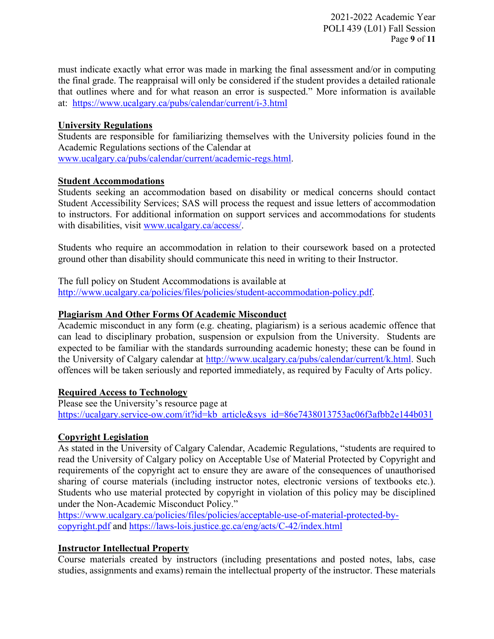2021-2022 Academic Year POLI 439 (L01) Fall Session Page **9** of **11**

must indicate exactly what error was made in marking the final assessment and/or in computing the final grade. The reappraisal will only be considered if the student provides a detailed rationale that outlines where and for what reason an error is suspected." More information is available at: <https://www.ucalgary.ca/pubs/calendar/current/i-3.html>

### **University Regulations**

Students are responsible for familiarizing themselves with the University policies found in the Academic Regulations sections of the Calendar at [www.ucalgary.ca/pubs/calendar/current/academic-regs.html.](http://www.ucalgary.ca/pubs/calendar/current/academic-regs.html)

## **Student Accommodations**

Students seeking an accommodation based on disability or medical concerns should contact Student Accessibility Services; SAS will process the request and issue letters of accommodation to instructors. For additional information on support services and accommodations for students with disabilities, visit [www.ucalgary.ca/access/.](http://www.ucalgary.ca/access/)

Students who require an accommodation in relation to their coursework based on a protected ground other than disability should communicate this need in writing to their Instructor.

The full policy on Student Accommodations is available at [http://www.ucalgary.ca/policies/files/policies/student-accommodation-policy.pdf.](http://www.ucalgary.ca/policies/files/policies/student-accommodation-policy.pdf)

## **Plagiarism And Other Forms Of Academic Misconduct**

Academic misconduct in any form (e.g. cheating, plagiarism) is a serious academic offence that can lead to disciplinary probation, suspension or expulsion from the University. Students are expected to be familiar with the standards surrounding academic honesty; these can be found in the University of Calgary calendar at [http://www.ucalgary.ca/pubs/calendar/current/k.html.](http://www.ucalgary.ca/pubs/calendar/current/k.html) Such offences will be taken seriously and reported immediately, as required by Faculty of Arts policy.

### **Required Access to Technology**

Please see the University's resource page at [https://ucalgary.service-ow.com/it?id=kb\\_article&sys\\_id=86e7438013753ac06f3afbb2e144b031](https://ucalgary.service-ow.com/it?id=kb_article&sys_id=86e7438013753ac06f3afbb2e144b031)

### **Copyright Legislation**

As stated in the University of Calgary Calendar, Academic Regulations, "students are required to read the University of Calgary policy on Acceptable Use of Material Protected by Copyright and requirements of the copyright act to ensure they are aware of the consequences of unauthorised sharing of course materials (including instructor notes, electronic versions of textbooks etc.). Students who use material protected by copyright in violation of this policy may be disciplined under the Non-Academic Misconduct Policy."

[https://www.ucalgary.ca/policies/files/policies/acceptable-use-of-material-protected-by](https://www.ucalgary.ca/policies/files/policies/acceptable-use-of-material-protected-by-copyright.pdf)[copyright.pdf](https://www.ucalgary.ca/policies/files/policies/acceptable-use-of-material-protected-by-copyright.pdf) and<https://laws-lois.justice.gc.ca/eng/acts/C-42/index.html>

# **Instructor Intellectual Property**

Course materials created by instructors (including presentations and posted notes, labs, case studies, assignments and exams) remain the intellectual property of the instructor. These materials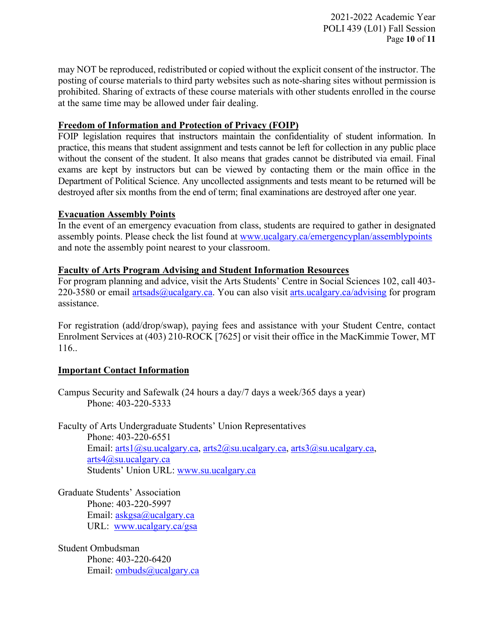2021-2022 Academic Year POLI 439 (L01) Fall Session Page **10** of **11**

may NOT be reproduced, redistributed or copied without the explicit consent of the instructor. The posting of course materials to third party websites such as note-sharing sites without permission is prohibited. Sharing of extracts of these course materials with other students enrolled in the course at the same time may be allowed under fair dealing.

### **Freedom of Information and Protection of Privacy (FOIP)**

FOIP legislation requires that instructors maintain the confidentiality of student information. In practice, this means that student assignment and tests cannot be left for collection in any public place without the consent of the student. It also means that grades cannot be distributed via email. Final exams are kept by instructors but can be viewed by contacting them or the main office in the Department of Political Science. Any uncollected assignments and tests meant to be returned will be destroyed after six months from the end of term; final examinations are destroyed after one year.

### **Evacuation Assembly Points**

In the event of an emergency evacuation from class, students are required to gather in designated assembly points. Please check the list found at [www.ucalgary.ca/emergencyplan/assemblypoints](http://www.ucalgary.ca/emergencyplan/assemblypoints) and note the assembly point nearest to your classroom.

## **Faculty of Arts Program Advising and Student Information Resources**

For program planning and advice, visit the Arts Students' Centre in Social Sciences 102, call 403 220-3580 or email [artsads@ucalgary.ca.](mailto:artsads@ucalgary.ca) You can also visit [arts.ucalgary.ca/advising](http://arts.ucalgary.ca/advising) for program assistance.

For registration (add/drop/swap), paying fees and assistance with your Student Centre, contact Enrolment Services at (403) 210-ROCK [7625] or visit their office in the MacKimmie Tower, MT 116..

# **Important Contact Information**

Campus Security and Safewalk (24 hours a day/7 days a week/365 days a year) Phone: 403-220-5333

Faculty of Arts Undergraduate Students' Union Representatives Phone: 403-220-6551 Email: [arts1@su.ucalgary.ca,](mailto:arts1@su.ucalgary.ca) [arts2@su.ucalgary.ca,](mailto:arts2@su.ucalgary.ca) [arts3@su.ucalgary.ca,](mailto:arts3@su.ucalgary.ca) [arts4@su.ucalgary.ca](mailto:arts4@su.ucalgary.ca) Students' Union URL: [www.su.ucalgary.ca](http://www.su.ucalgary.ca/)

Graduate Students' Association Phone: 403-220-5997 Email:  $askgsa@ucalgary.ca$ URL: [www.ucalgary.ca/gsa](http://www.ucalgary.ca/gsa)

Student Ombudsman Phone: 403-220-6420 Email: [ombuds@ucalgary.ca](mailto:ombuds@ucalgary.ca)